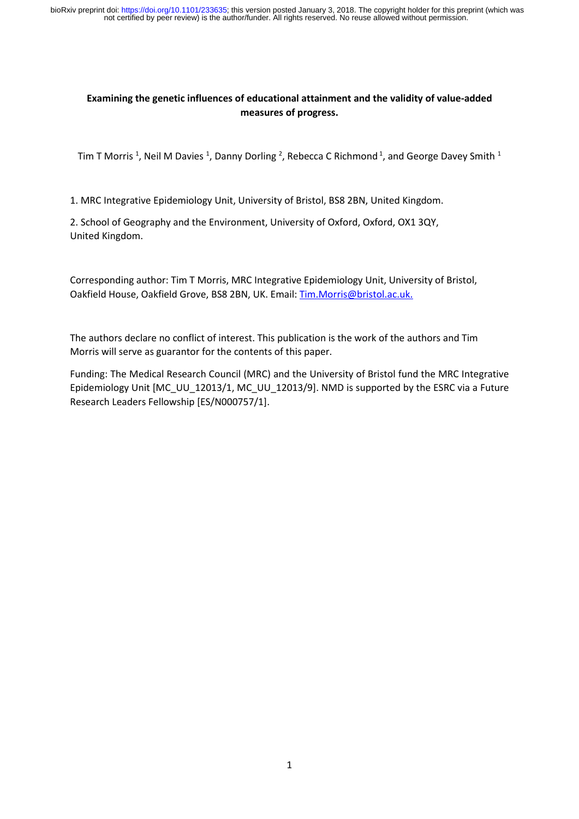### **Examining the genetic influences of educational attainment and the validity of value-added measures of progress.**

Tim T Morris <sup>1</sup>, Neil M Davies <sup>1</sup>, Danny Dorling <sup>2</sup>, Rebecca C Richmond <sup>1</sup>, and George Davey Smith <sup>1</sup>

1. MRC Integrative Epidemiology Unit, University of Bristol, BS8 2BN, United Kingdom.

2. School of Geography and the Environment, University of Oxford, Oxford, OX1 3QY, United Kingdom.

Corresponding author: Tim T Morris, MRC Integrative Epidemiology Unit, University of Bristol, Oakfield House, Oakfield Grove, BS8 2BN, UK. Email: [Tim.Morris@bristol.ac.uk.](mailto:Tim.Morris@bristol.ac.uk)

The authors declare no conflict of interest. This publication is the work of the authors and Tim Morris will serve as guarantor for the contents of this paper.

Funding: The Medical Research Council (MRC) and the University of Bristol fund the MRC Integrative Epidemiology Unit [MC\_UU\_12013/1, MC\_UU\_12013/9]. NMD is supported by the ESRC via a Future Research Leaders Fellowship [ES/N000757/1].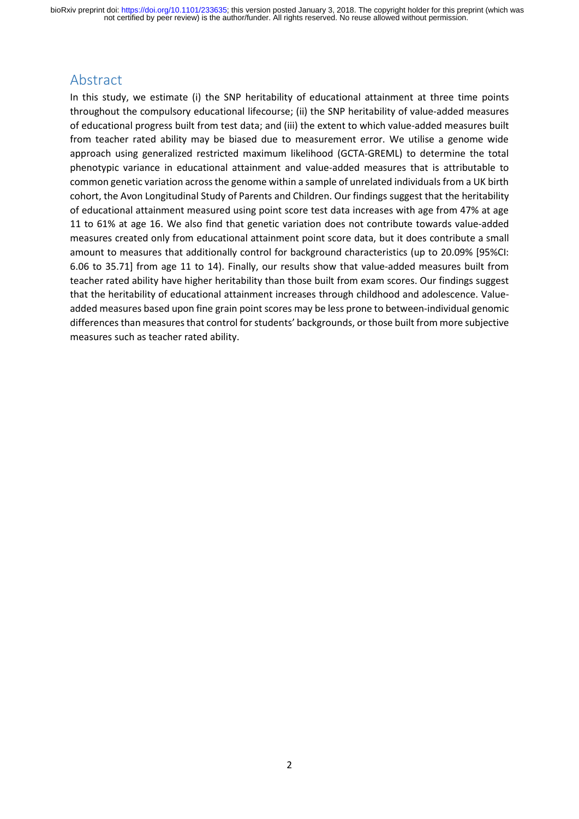# Abstract

In this study, we estimate (i) the SNP heritability of educational attainment at three time points throughout the compulsory educational lifecourse; (ii) the SNP heritability of value-added measures of educational progress built from test data; and (iii) the extent to which value-added measures built from teacher rated ability may be biased due to measurement error. We utilise a genome wide approach using generalized restricted maximum likelihood (GCTA-GREML) to determine the total phenotypic variance in educational attainment and value-added measures that is attributable to common genetic variation across the genome within a sample of unrelated individuals from a UK birth cohort, the Avon Longitudinal Study of Parents and Children. Our findings suggest that the heritability of educational attainment measured using point score test data increases with age from 47% at age 11 to 61% at age 16. We also find that genetic variation does not contribute towards value-added measures created only from educational attainment point score data, but it does contribute a small amount to measures that additionally control for background characteristics (up to 20.09% [95%CI: 6.06 to 35.71] from age 11 to 14). Finally, our results show that value-added measures built from teacher rated ability have higher heritability than those built from exam scores. Our findings suggest that the heritability of educational attainment increases through childhood and adolescence. Valueadded measures based upon fine grain point scores may be less prone to between-individual genomic differencesthan measures that control for students' backgrounds, or those built from more subjective measures such as teacher rated ability.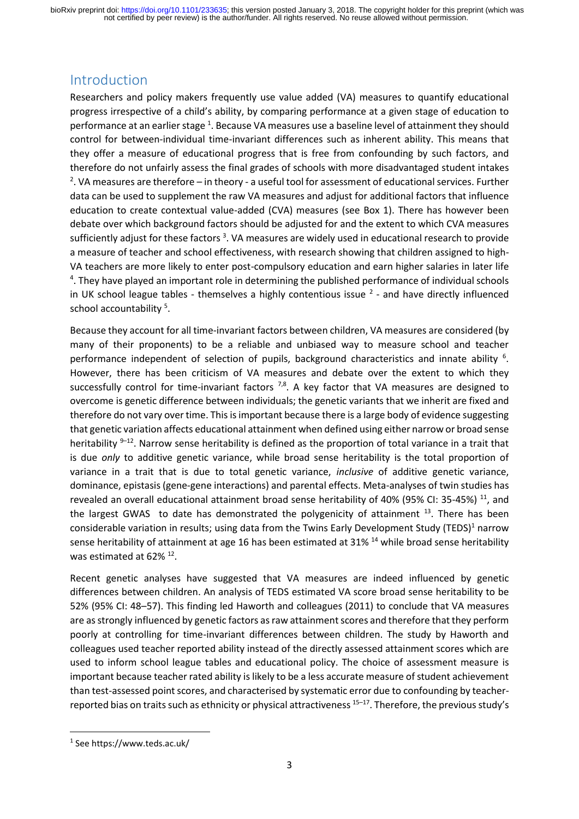# Introduction

Researchers and policy makers frequently use value added (VA) measures to quantify educational progress irrespective of a child's ability, by comparing performance at a given stage of education to performance at an earlier stage <sup>1</sup>. Because VA measures use a baseline level of attainment they should control for between-individual time-invariant differences such as inherent ability. This means that they offer a measure of educational progress that is free from confounding by such factors, and therefore do not unfairly assess the final grades of schools with more disadvantaged student intakes <sup>2</sup>. VA measures are therefore – in theory - a useful tool for assessment of educational services. Further data can be used to supplement the raw VA measures and adjust for additional factors that influence education to create contextual value-added (CVA) measures (see Box 1). There has however been debate over which background factors should be adjusted for and the extent to which CVA measures sufficiently adjust for these factors<sup>3</sup>. VA measures are widely used in educational research to provide a measure of teacher and school effectiveness, with research showing that children assigned to high-VA teachers are more likely to enter post-compulsory education and earn higher salaries in later life <sup>4</sup>. They have played an important role in determining the published performance of individual schools in UK school league tables - themselves a highly contentious issue  $<sup>2</sup>$  - and have directly influenced</sup> school accountability<sup>5</sup>.

Because they account for all time-invariant factors between children, VA measures are considered (by many of their proponents) to be a reliable and unbiased way to measure school and teacher performance independent of selection of pupils, background characteristics and innate ability <sup>6</sup>. However, there has been criticism of VA measures and debate over the extent to which they successfully control for time-invariant factors  $^{7,8}$ . A key factor that VA measures are designed to overcome is genetic difference between individuals; the genetic variants that we inherit are fixed and therefore do not vary over time. This is important because there is a large body of evidence suggesting that genetic variation affects educational attainment when defined using either narrow or broad sense heritability <sup>9-12</sup>. Narrow sense heritability is defined as the proportion of total variance in a trait that is due *only* to additive genetic variance, while broad sense heritability is the total proportion of variance in a trait that is due to total genetic variance, *inclusive* of additive genetic variance, dominance, epistasis (gene-gene interactions) and parental effects. Meta-analyses of twin studies has revealed an overall educational attainment broad sense heritability of 40% (95% CI: 35-45%) <sup>11</sup>, and the largest GWAS to date has demonstrated the polygenicity of attainment <sup>13</sup>. There has been considerable variation in results; using data from the Twins Early Development Study (TEDS)<sup>1</sup> narrow sense heritability of attainment at age 16 has been estimated at 31% <sup>14</sup> while broad sense heritability was estimated at 62%<sup>12</sup>.

Recent genetic analyses have suggested that VA measures are indeed influenced by genetic differences between children. An analysis of TEDS estimated VA score broad sense heritability to be 52% (95% CI: 48–57). This finding led Haworth and colleagues (2011) to conclude that VA measures are as strongly influenced by genetic factors as raw attainment scores and therefore that they perform poorly at controlling for time-invariant differences between children. The study by Haworth and colleagues used teacher reported ability instead of the directly assessed attainment scores which are used to inform school league tables and educational policy. The choice of assessment measure is important because teacher rated ability is likely to be a less accurate measure of student achievement than test-assessed point scores, and characterised by systematic error due to confounding by teacherreported bias on traits such as ethnicity or physical attractiveness <sup>15-17</sup>. Therefore, the previous study's

**.** 

<sup>1</sup> See https://www.teds.ac.uk/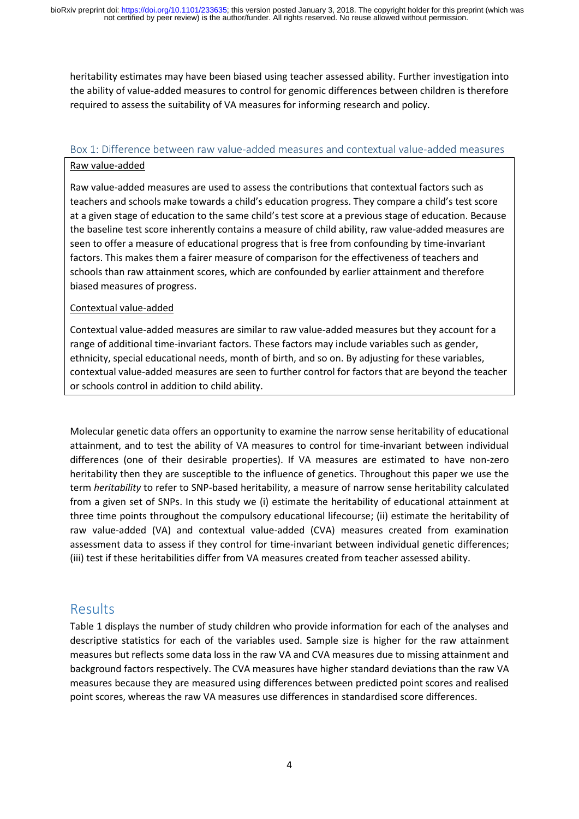heritability estimates may have been biased using teacher assessed ability. Further investigation into the ability of value-added measures to control for genomic differences between children is therefore required to assess the suitability of VA measures for informing research and policy.

### Box 1: Difference between raw value-added measures and contextual value-added measures

#### Raw value-added

Raw value-added measures are used to assess the contributions that contextual factors such as teachers and schools make towards a child's education progress. They compare a child's test score at a given stage of education to the same child's test score at a previous stage of education. Because the baseline test score inherently contains a measure of child ability, raw value-added measures are seen to offer a measure of educational progress that is free from confounding by time-invariant factors. This makes them a fairer measure of comparison for the effectiveness of teachers and schools than raw attainment scores, which are confounded by earlier attainment and therefore biased measures of progress.

#### Contextual value-added

Contextual value-added measures are similar to raw value-added measures but they account for a range of additional time-invariant factors. These factors may include variables such as gender, ethnicity, special educational needs, month of birth, and so on. By adjusting for these variables, contextual value-added measures are seen to further control for factors that are beyond the teacher or schools control in addition to child ability.

Molecular genetic data offers an opportunity to examine the narrow sense heritability of educational attainment, and to test the ability of VA measures to control for time-invariant between individual differences (one of their desirable properties). If VA measures are estimated to have non-zero heritability then they are susceptible to the influence of genetics. Throughout this paper we use the term *heritability* to refer to SNP-based heritability, a measure of narrow sense heritability calculated from a given set of SNPs. In this study we (i) estimate the heritability of educational attainment at three time points throughout the compulsory educational lifecourse; (ii) estimate the heritability of raw value-added (VA) and contextual value-added (CVA) measures created from examination assessment data to assess if they control for time-invariant between individual genetic differences; (iii) test if these heritabilities differ from VA measures created from teacher assessed ability.

# Results

Table 1 displays the number of study children who provide information for each of the analyses and descriptive statistics for each of the variables used. Sample size is higher for the raw attainment measures but reflects some data loss in the raw VA and CVA measures due to missing attainment and background factors respectively. The CVA measures have higher standard deviations than the raw VA measures because they are measured using differences between predicted point scores and realised point scores, whereas the raw VA measures use differences in standardised score differences.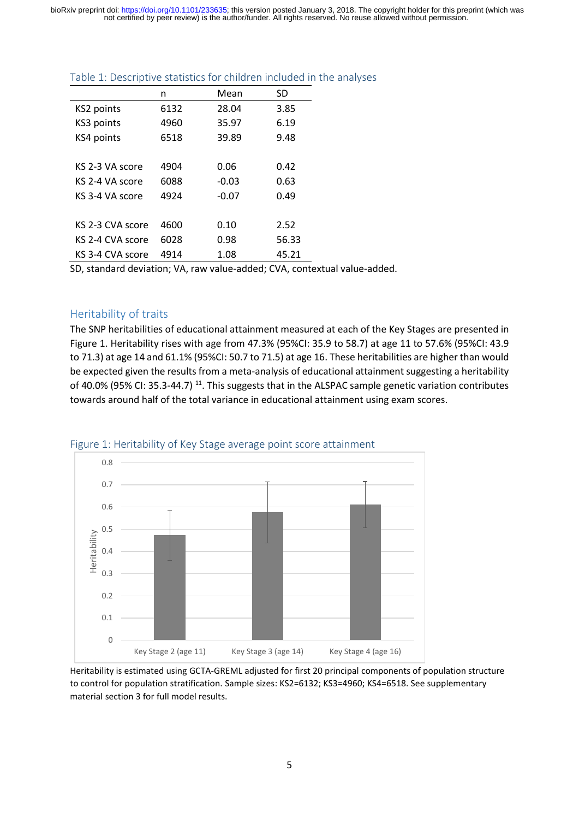not certified by peer review) is the author/funder. All rights reserved. No reuse allowed without permission. bioRxiv preprint doi: [https://doi.org/10.1101/233635;](https://doi.org/10.1101/233635) this version posted January 3, 2018. The copyright holder for this preprint (which was

|                  | n    | Mean    | SD    |
|------------------|------|---------|-------|
| KS2 points       | 6132 | 28.04   | 3.85  |
| KS3 points       | 4960 | 35.97   | 6.19  |
| KS4 points       | 6518 | 39.89   | 9.48  |
|                  |      |         |       |
| KS 2-3 VA score  | 4904 | 0.06    | 0.42  |
| KS 2-4 VA score  | 6088 | $-0.03$ | 0.63  |
| KS 3-4 VA score  | 4924 | $-0.07$ | 0.49  |
|                  |      |         |       |
| KS 2-3 CVA score | 4600 | 0.10    | 2.52  |
| KS 2-4 CVA score | 6028 | 0.98    | 56.33 |
| KS 3-4 CVA score | 4914 | 1.08    | 45.21 |
|                  |      |         |       |

### Table 1: Descriptive statistics for children included in the analyses

SD, standard deviation; VA, raw value-added; CVA, contextual value-added.

#### Heritability of traits

The SNP heritabilities of educational attainment measured at each of the Key Stages are presented in Figure 1. Heritability rises with age from 47.3% (95%CI: 35.9 to 58.7) at age 11 to 57.6% (95%CI: 43.9 to 71.3) at age 14 and 61.1% (95%CI: 50.7 to 71.5) at age 16. These heritabilities are higher than would be expected given the results from a meta-analysis of educational attainment suggesting a heritability of 40.0% (95% CI: 35.3-44.7)<sup>11</sup>. This suggests that in the ALSPAC sample genetic variation contributes towards around half of the total variance in educational attainment using exam scores.



#### Figure 1: Heritability of Key Stage average point score attainment

Heritability is estimated using GCTA-GREML adjusted for first 20 principal components of population structure to control for population stratification. Sample sizes: KS2=6132; KS3=4960; KS4=6518. See supplementary material section 3 for full model results.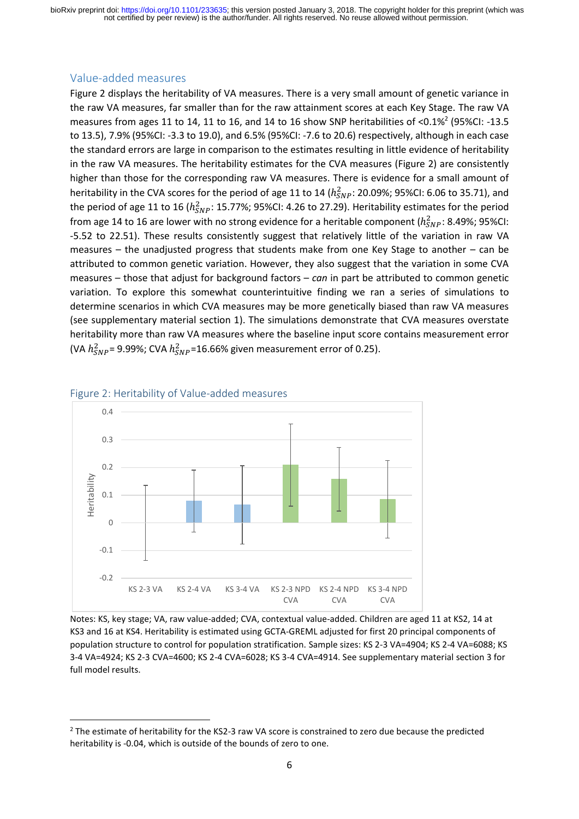#### Value-added measures

Figure 2 displays the heritability of VA measures. There is a very small amount of genetic variance in the raw VA measures, far smaller than for the raw attainment scores at each Key Stage. The raw VA measures from ages 11 to 14, 11 to 16, and 14 to 16 show SNP heritabilities of <0.1%<sup>2</sup> (95%CI: -13.5 to 13.5), 7.9% (95%CI: -3.3 to 19.0), and 6.5% (95%CI: -7.6 to 20.6) respectively, although in each case the standard errors are large in comparison to the estimates resulting in little evidence of heritability in the raw VA measures. The heritability estimates for the CVA measures (Figure 2) are consistently higher than those for the corresponding raw VA measures. There is evidence for a small amount of heritability in the CVA scores for the period of age 11 to 14 ( $h_{SNP}^2$ : 20.09%; 95%CI: 6.06 to 35.71), and the period of age 11 to 16 ( $h_{SNP}^2$ : 15.77%; 95%CI: 4.26 to 27.29). Heritability estimates for the period from age 14 to 16 are lower with no strong evidence for a heritable component ( $h^{2}_{SNP}$ : 8.49%; 95%CI: -5.52 to 22.51). These results consistently suggest that relatively little of the variation in raw VA measures – the unadjusted progress that students make from one Key Stage to another – can be attributed to common genetic variation. However, they also suggest that the variation in some CVA measures – those that adjust for background factors – *can* in part be attributed to common genetic variation. To explore this somewhat counterintuitive finding we ran a series of simulations to determine scenarios in which CVA measures may be more genetically biased than raw VA measures (see supplementary material section 1). The simulations demonstrate that CVA measures overstate heritability more than raw VA measures where the baseline input score contains measurement error (VA  $h_{SNP}^2$ = 9.99%; CVA  $h_{SNP}^2$ =16.66% given measurement error of 0.25).



#### Figure 2: Heritability of Value-added measures

1

Notes: KS, key stage; VA, raw value-added; CVA, contextual value-added. Children are aged 11 at KS2, 14 at KS3 and 16 at KS4. Heritability is estimated using GCTA-GREML adjusted for first 20 principal components of population structure to control for population stratification. Sample sizes: KS 2-3 VA=4904; KS 2-4 VA=6088; KS 3-4 VA=4924; KS 2-3 CVA=4600; KS 2-4 CVA=6028; KS 3-4 CVA=4914. See supplementary material section 3 for full model results.

<sup>&</sup>lt;sup>2</sup> The estimate of heritability for the KS2-3 raw VA score is constrained to zero due because the predicted heritability is -0.04, which is outside of the bounds of zero to one.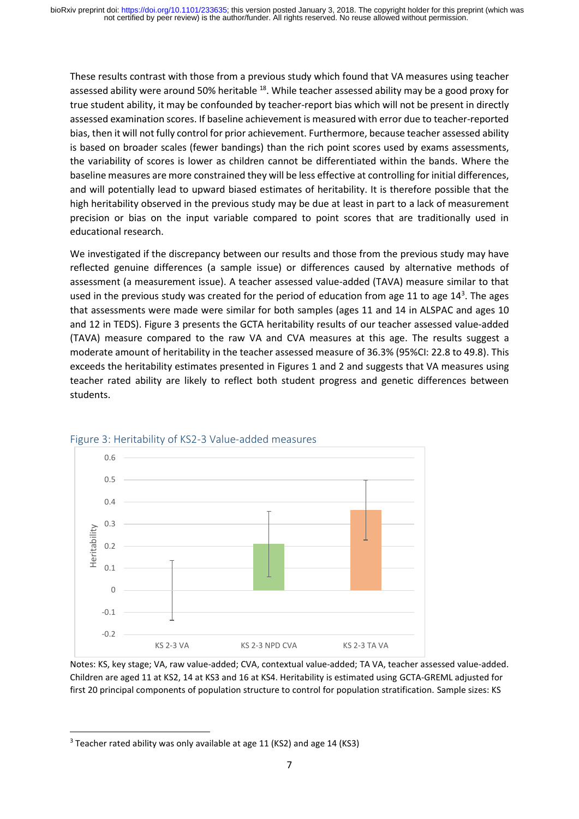These results contrast with those from a previous study which found that VA measures using teacher assessed ability were around 50% heritable <sup>18</sup>. While teacher assessed ability may be a good proxy for true student ability, it may be confounded by teacher-report bias which will not be present in directly assessed examination scores. If baseline achievement is measured with error due to teacher-reported bias, then it will not fully control for prior achievement. Furthermore, because teacher assessed ability is based on broader scales (fewer bandings) than the rich point scores used by exams assessments, the variability of scores is lower as children cannot be differentiated within the bands. Where the baseline measures are more constrained they will be less effective at controlling for initial differences, and will potentially lead to upward biased estimates of heritability. It is therefore possible that the high heritability observed in the previous study may be due at least in part to a lack of measurement precision or bias on the input variable compared to point scores that are traditionally used in educational research.

We investigated if the discrepancy between our results and those from the previous study may have reflected genuine differences (a sample issue) or differences caused by alternative methods of assessment (a measurement issue). A teacher assessed value-added (TAVA) measure similar to that used in the previous study was created for the period of education from age 11 to age  $14<sup>3</sup>$ . The ages that assessments were made were similar for both samples (ages 11 and 14 in ALSPAC and ages 10 and 12 in TEDS). Figure 3 presents the GCTA heritability results of our teacher assessed value-added (TAVA) measure compared to the raw VA and CVA measures at this age. The results suggest a moderate amount of heritability in the teacher assessed measure of 36.3% (95%CI: 22.8 to 49.8). This exceeds the heritability estimates presented in Figures 1 and 2 and suggests that VA measures using teacher rated ability are likely to reflect both student progress and genetic differences between students.



# Figure 3: Heritability of KS2-3 Value-added measures

Notes: KS, key stage; VA, raw value-added; CVA, contextual value-added; TA VA, teacher assessed value-added. Children are aged 11 at KS2, 14 at KS3 and 16 at KS4. Heritability is estimated using GCTA-GREML adjusted for first 20 principal components of population structure to control for population stratification. Sample sizes: KS

**.** 

<sup>&</sup>lt;sup>3</sup> Teacher rated ability was only available at age 11 (KS2) and age 14 (KS3)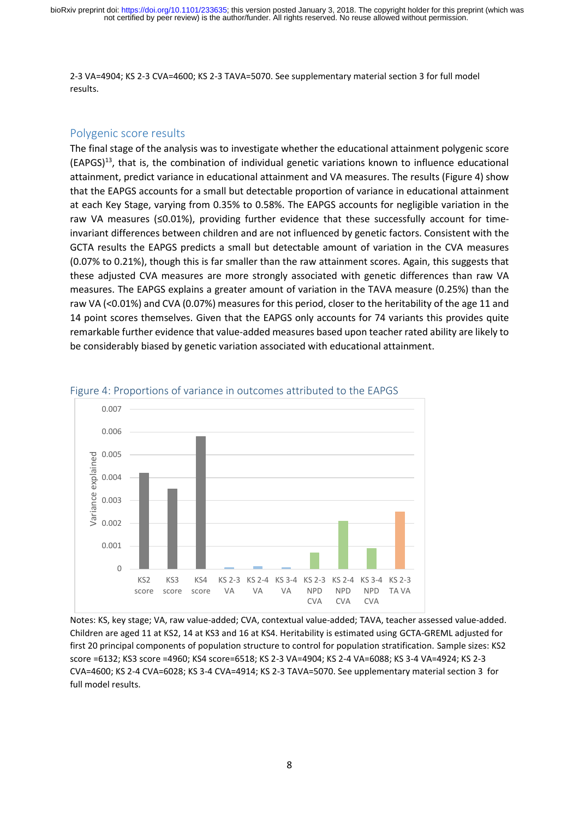2-3 VA=4904; KS 2-3 CVA=4600; KS 2-3 TAVA=5070. See supplementary material section 3 for full model results.

#### Polygenic score results

The final stage of the analysis was to investigate whether the educational attainment polygenic score (EAPGS) <sup>13</sup>, that is, the combination of individual genetic variations known to influence educational attainment, predict variance in educational attainment and VA measures. The results (Figure 4) show that the EAPGS accounts for a small but detectable proportion of variance in educational attainment at each Key Stage, varying from 0.35% to 0.58%. The EAPGS accounts for negligible variation in the raw VA measures (≤0.01%), providing further evidence that these successfully account for timeinvariant differences between children and are not influenced by genetic factors. Consistent with the GCTA results the EAPGS predicts a small but detectable amount of variation in the CVA measures (0.07% to 0.21%), though this is far smaller than the raw attainment scores. Again, this suggests that these adjusted CVA measures are more strongly associated with genetic differences than raw VA measures. The EAPGS explains a greater amount of variation in the TAVA measure (0.25%) than the raw VA (<0.01%) and CVA (0.07%) measures for this period, closer to the heritability of the age 11 and 14 point scores themselves. Given that the EAPGS only accounts for 74 variants this provides quite remarkable further evidence that value-added measures based upon teacher rated ability are likely to be considerably biased by genetic variation associated with educational attainment.



#### Figure 4: Proportions of variance in outcomes attributed to the EAPGS

Notes: KS, key stage; VA, raw value-added; CVA, contextual value-added; TAVA, teacher assessed value-added. Children are aged 11 at KS2, 14 at KS3 and 16 at KS4. Heritability is estimated using GCTA-GREML adjusted for first 20 principal components of population structure to control for population stratification. Sample sizes: KS2 score =6132; KS3 score =4960; KS4 score=6518; KS 2-3 VA=4904; KS 2-4 VA=6088; KS 3-4 VA=4924; KS 2-3 CVA=4600; KS 2-4 CVA=6028; KS 3-4 CVA=4914; KS 2-3 TAVA=5070. See upplementary material section 3 for full model results.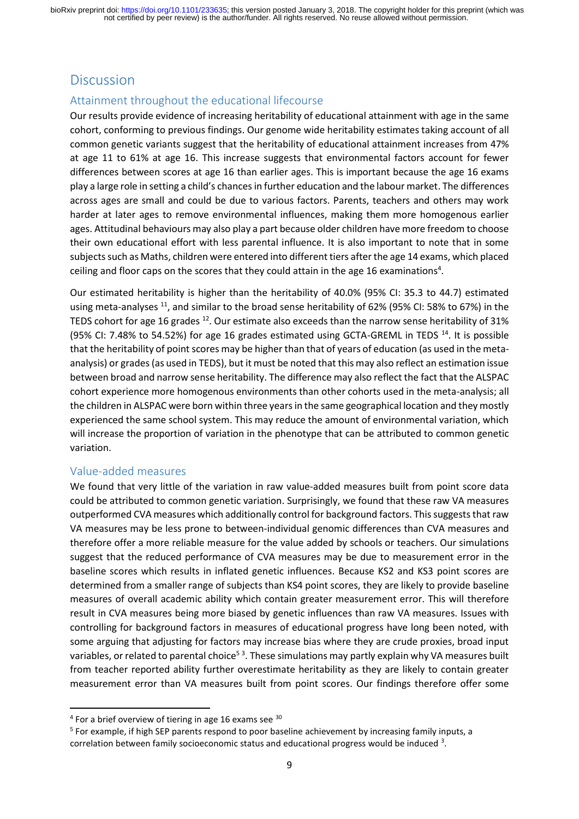# **Discussion**

# Attainment throughout the educational lifecourse

Our results provide evidence of increasing heritability of educational attainment with age in the same cohort, conforming to previous findings. Our genome wide heritability estimates taking account of all common genetic variants suggest that the heritability of educational attainment increases from 47% at age 11 to 61% at age 16. This increase suggests that environmental factors account for fewer differences between scores at age 16 than earlier ages. This is important because the age 16 exams play a large role in setting a child's chances in further education and the labour market. The differences across ages are small and could be due to various factors. Parents, teachers and others may work harder at later ages to remove environmental influences, making them more homogenous earlier ages. Attitudinal behaviours may also play a part because older children have more freedom to choose their own educational effort with less parental influence. It is also important to note that in some subjects such as Maths, children were entered into different tiers after the age 14 exams, which placed ceiling and floor caps on the scores that they could attain in the age 16 examinations<sup>4</sup>.

Our estimated heritability is higher than the heritability of 40.0% (95% CI: 35.3 to 44.7) estimated using meta-analyses <sup>11</sup>, and similar to the broad sense heritability of 62% (95% CI: 58% to 67%) in the TEDS cohort for age 16 grades <sup>12</sup>. Our estimate also exceeds than the narrow sense heritability of 31% (95% CI: 7.48% to 54.52%) for age 16 grades estimated using GCTA-GREML in TEDS  $^{14}$ . It is possible that the heritability of point scores may be higher than that of years of education (as used in the metaanalysis) or grades (as used in TEDS), but it must be noted that this may also reflect an estimation issue between broad and narrow sense heritability. The difference may also reflect the fact that the ALSPAC cohort experience more homogenous environments than other cohorts used in the meta-analysis; all the children in ALSPAC were born within three yearsin the same geographical location and they mostly experienced the same school system. This may reduce the amount of environmental variation, which will increase the proportion of variation in the phenotype that can be attributed to common genetic variation.

## Value-added measures

**.** 

We found that very little of the variation in raw value-added measures built from point score data could be attributed to common genetic variation. Surprisingly, we found that these raw VA measures outperformed CVA measures which additionally control for background factors. This suggests that raw VA measures may be less prone to between-individual genomic differences than CVA measures and therefore offer a more reliable measure for the value added by schools or teachers. Our simulations suggest that the reduced performance of CVA measures may be due to measurement error in the baseline scores which results in inflated genetic influences. Because KS2 and KS3 point scores are determined from a smaller range of subjects than KS4 point scores, they are likely to provide baseline measures of overall academic ability which contain greater measurement error. This will therefore result in CVA measures being more biased by genetic influences than raw VA measures. Issues with controlling for background factors in measures of educational progress have long been noted, with some arguing that adjusting for factors may increase bias where they are crude proxies, broad input variables, or related to parental choice<sup>53</sup>. These simulations may partly explain why VA measures built from teacher reported ability further overestimate heritability as they are likely to contain greater measurement error than VA measures built from point scores. Our findings therefore offer some

 $4$  For a brief overview of tiering in age 16 exams see  $30$ 

<sup>&</sup>lt;sup>5</sup> For example, if high SEP parents respond to poor baseline achievement by increasing family inputs, a correlation between family socioeconomic status and educational progress would be induced <sup>3</sup>.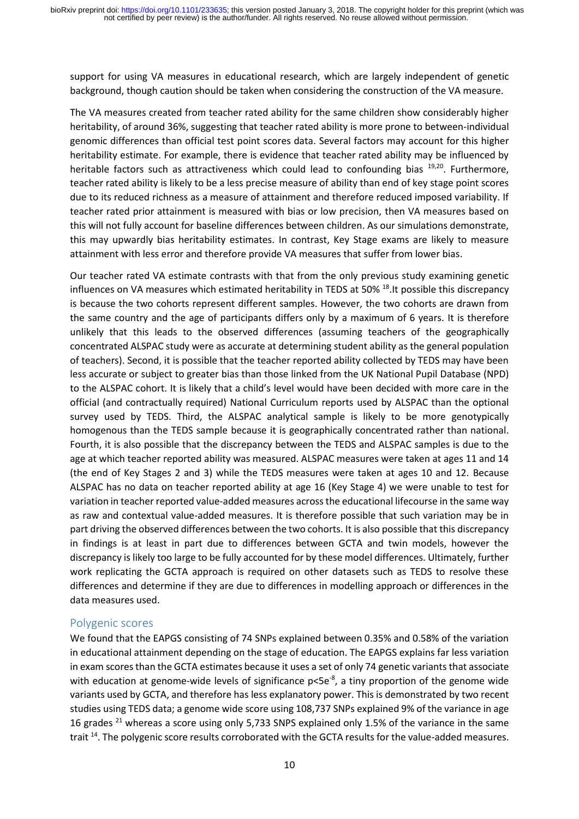support for using VA measures in educational research, which are largely independent of genetic background, though caution should be taken when considering the construction of the VA measure.

The VA measures created from teacher rated ability for the same children show considerably higher heritability, of around 36%, suggesting that teacher rated ability is more prone to between-individual genomic differences than official test point scores data. Several factors may account for this higher heritability estimate. For example, there is evidence that teacher rated ability may be influenced by heritable factors such as attractiveness which could lead to confounding bias <sup>19,20</sup>. Furthermore, teacher rated ability is likely to be a less precise measure of ability than end of key stage point scores due to its reduced richness as a measure of attainment and therefore reduced imposed variability. If teacher rated prior attainment is measured with bias or low precision, then VA measures based on this will not fully account for baseline differences between children. As our simulations demonstrate, this may upwardly bias heritability estimates. In contrast, Key Stage exams are likely to measure attainment with less error and therefore provide VA measures that suffer from lower bias.

Our teacher rated VA estimate contrasts with that from the only previous study examining genetic influences on VA measures which estimated heritability in TEDS at 50% <sup>18</sup>. It possible this discrepancy is because the two cohorts represent different samples. However, the two cohorts are drawn from the same country and the age of participants differs only by a maximum of 6 years. It is therefore unlikely that this leads to the observed differences (assuming teachers of the geographically concentrated ALSPAC study were as accurate at determining student ability as the general population of teachers). Second, it is possible that the teacher reported ability collected by TEDS may have been less accurate or subject to greater bias than those linked from the UK National Pupil Database (NPD) to the ALSPAC cohort. It is likely that a child's level would have been decided with more care in the official (and contractually required) National Curriculum reports used by ALSPAC than the optional survey used by TEDS. Third, the ALSPAC analytical sample is likely to be more genotypically homogenous than the TEDS sample because it is geographically concentrated rather than national. Fourth, it is also possible that the discrepancy between the TEDS and ALSPAC samples is due to the age at which teacher reported ability was measured. ALSPAC measures were taken at ages 11 and 14 (the end of Key Stages 2 and 3) while the TEDS measures were taken at ages 10 and 12. Because ALSPAC has no data on teacher reported ability at age 16 (Key Stage 4) we were unable to test for variation in teacher reported value-added measures across the educational lifecourse in the same way as raw and contextual value-added measures. It is therefore possible that such variation may be in part driving the observed differences between the two cohorts. It is also possible that this discrepancy in findings is at least in part due to differences between GCTA and twin models, however the discrepancy is likely too large to be fully accounted for by these model differences. Ultimately, further work replicating the GCTA approach is required on other datasets such as TEDS to resolve these differences and determine if they are due to differences in modelling approach or differences in the data measures used.

### Polygenic scores

We found that the EAPGS consisting of 74 SNPs explained between 0.35% and 0.58% of the variation in educational attainment depending on the stage of education. The EAPGS explains far less variation in exam scores than the GCTA estimates because it uses a set of only 74 genetic variants that associate with education at genome-wide levels of significance  $p<5e<sup>-8</sup>$ , a tiny proportion of the genome wide variants used by GCTA, and therefore has less explanatory power. This is demonstrated by two recent studies using TEDS data; a genome wide score using 108,737 SNPs explained 9% of the variance in age 16 grades <sup>21</sup> whereas a score using only 5,733 SNPS explained only 1.5% of the variance in the same trait <sup>14</sup>. The polygenic score results corroborated with the GCTA results for the value-added measures.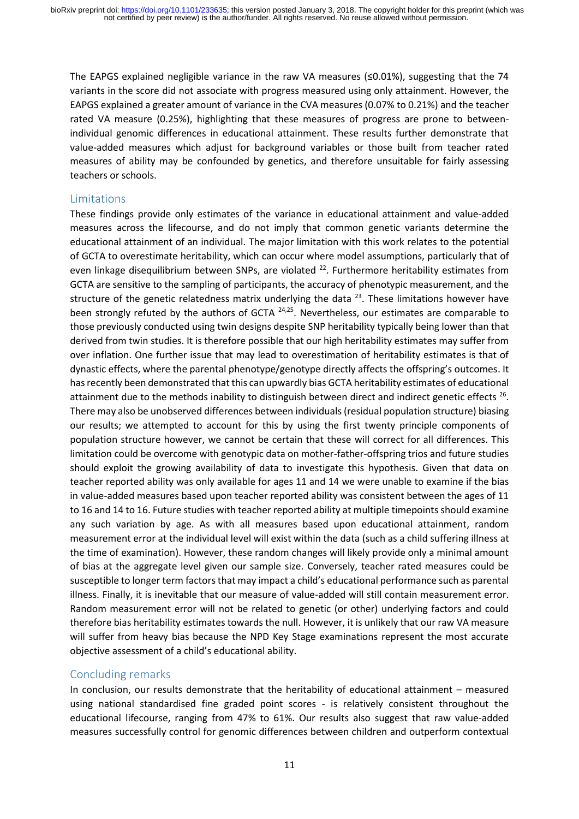The EAPGS explained negligible variance in the raw VA measures ( $\leq 0.01\%$ ), suggesting that the 74 variants in the score did not associate with progress measured using only attainment. However, the EAPGS explained a greater amount of variance in the CVA measures (0.07% to 0.21%) and the teacher rated VA measure (0.25%), highlighting that these measures of progress are prone to betweenindividual genomic differences in educational attainment. These results further demonstrate that value-added measures which adjust for background variables or those built from teacher rated measures of ability may be confounded by genetics, and therefore unsuitable for fairly assessing teachers or schools.

### Limitations

These findings provide only estimates of the variance in educational attainment and value-added measures across the lifecourse, and do not imply that common genetic variants determine the educational attainment of an individual. The major limitation with this work relates to the potential of GCTA to overestimate heritability, which can occur where model assumptions, particularly that of even linkage disequilibrium between SNPs, are violated  $^{22}$ . Furthermore heritability estimates from GCTA are sensitive to the sampling of participants, the accuracy of phenotypic measurement, and the structure of the genetic relatedness matrix underlying the data  $^{23}$ . These limitations however have been strongly refuted by the authors of GCTA <sup>24,25</sup>. Nevertheless, our estimates are comparable to those previously conducted using twin designs despite SNP heritability typically being lower than that derived from twin studies. It is therefore possible that our high heritability estimates may suffer from over inflation. One further issue that may lead to overestimation of heritability estimates is that of dynastic effects, where the parental phenotype/genotype directly affects the offspring's outcomes. It has recently been demonstrated that this can upwardly bias GCTA heritability estimates of educational attainment due to the methods inability to distinguish between direct and indirect genetic effects <sup>26</sup>. There may also be unobserved differences between individuals (residual population structure) biasing our results; we attempted to account for this by using the first twenty principle components of population structure however, we cannot be certain that these will correct for all differences. This limitation could be overcome with genotypic data on mother-father-offspring trios and future studies should exploit the growing availability of data to investigate this hypothesis. Given that data on teacher reported ability was only available for ages 11 and 14 we were unable to examine if the bias in value-added measures based upon teacher reported ability was consistent between the ages of 11 to 16 and 14 to 16. Future studies with teacher reported ability at multiple timepoints should examine any such variation by age. As with all measures based upon educational attainment, random measurement error at the individual level will exist within the data (such as a child suffering illness at the time of examination). However, these random changes will likely provide only a minimal amount of bias at the aggregate level given our sample size. Conversely, teacher rated measures could be susceptible to longer term factors that may impact a child's educational performance such as parental illness. Finally, it is inevitable that our measure of value-added will still contain measurement error. Random measurement error will not be related to genetic (or other) underlying factors and could therefore bias heritability estimates towards the null. However, it is unlikely that our raw VA measure will suffer from heavy bias because the NPD Key Stage examinations represent the most accurate objective assessment of a child's educational ability.

## Concluding remarks

In conclusion, our results demonstrate that the heritability of educational attainment – measured using national standardised fine graded point scores - is relatively consistent throughout the educational lifecourse, ranging from 47% to 61%. Our results also suggest that raw value-added measures successfully control for genomic differences between children and outperform contextual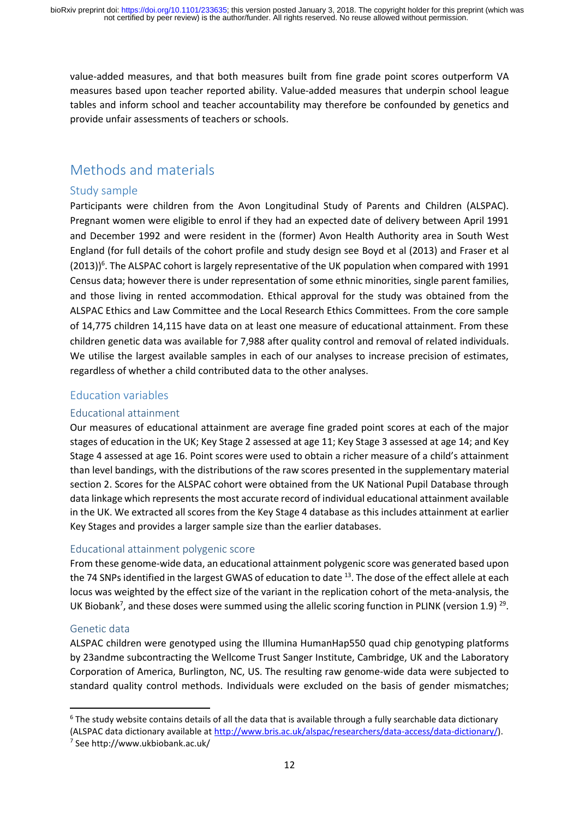value-added measures, and that both measures built from fine grade point scores outperform VA measures based upon teacher reported ability. Value-added measures that underpin school league tables and inform school and teacher accountability may therefore be confounded by genetics and provide unfair assessments of teachers or schools.

# Methods and materials

# Study sample

Participants were children from the Avon Longitudinal Study of Parents and Children (ALSPAC). Pregnant women were eligible to enrol if they had an expected date of delivery between April 1991 and December 1992 and were resident in the (former) Avon Health Authority area in South West England (for full details of the cohort profile and study design see Boyd et al (2013) and Fraser et al (2013))<sup>6</sup>. The ALSPAC cohort is largely representative of the UK population when compared with 1991 Census data; however there is under representation of some ethnic minorities, single parent families, and those living in rented accommodation. Ethical approval for the study was obtained from the ALSPAC Ethics and Law Committee and the Local Research Ethics Committees. From the core sample of 14,775 children 14,115 have data on at least one measure of educational attainment. From these children genetic data was available for 7,988 after quality control and removal of related individuals. We utilise the largest available samples in each of our analyses to increase precision of estimates, regardless of whether a child contributed data to the other analyses.

# Education variables

## Educational attainment

Our measures of educational attainment are average fine graded point scores at each of the major stages of education in the UK; Key Stage 2 assessed at age 11; Key Stage 3 assessed at age 14; and Key Stage 4 assessed at age 16. Point scores were used to obtain a richer measure of a child's attainment than level bandings, with the distributions of the raw scores presented in the supplementary material section 2. Scores for the ALSPAC cohort were obtained from the UK National Pupil Database through data linkage which represents the most accurate record of individual educational attainment available in the UK. We extracted all scores from the Key Stage 4 database as this includes attainment at earlier Key Stages and provides a larger sample size than the earlier databases.

### Educational attainment polygenic score

From these genome-wide data, an educational attainment polygenic score was generated based upon the 74 SNPs identified in the largest GWAS of education to date <sup>13</sup>. The dose of the effect allele at each locus was weighted by the effect size of the variant in the replication cohort of the meta-analysis, the UK Biobank<sup>7</sup>, and these doses were summed using the allelic scoring function in PLINK (version 1.9)<sup>29</sup>.

## Genetic data

**.** 

ALSPAC children were genotyped using the Illumina HumanHap550 quad chip genotyping platforms by 23andme subcontracting the Wellcome Trust Sanger Institute, Cambridge, UK and the Laboratory Corporation of America, Burlington, NC, US. The resulting raw genome-wide data were subjected to standard quality control methods. Individuals were excluded on the basis of gender mismatches;

 $6$  The study website contains details of all the data that is available through a fully searchable data dictionary (ALSPAC data dictionary available at [http://www.bris.ac.uk/alspac/researchers/data-access/data-dictionary/\)](http://www.bris.ac.uk/alspac/researchers/data-access/data-dictionary/).

<sup>7</sup> See http://www.ukbiobank.ac.uk/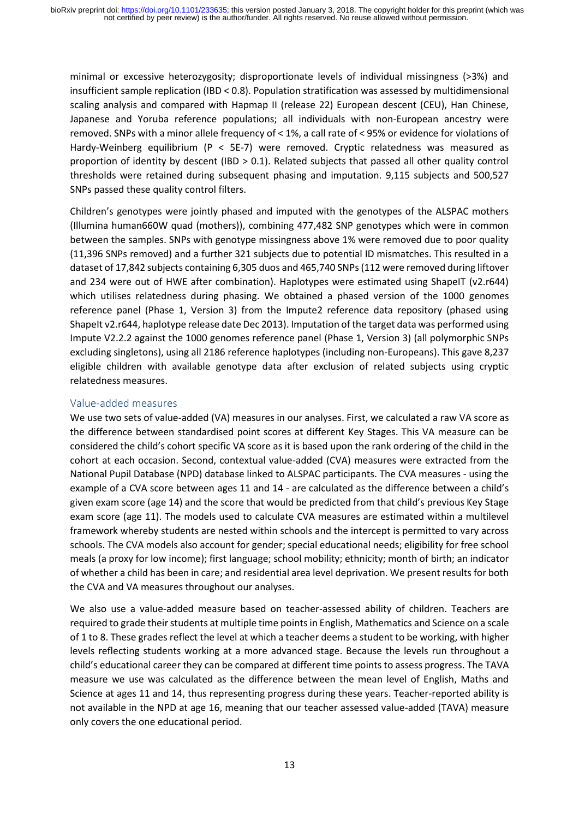minimal or excessive heterozygosity; disproportionate levels of individual missingness (>3%) and insufficient sample replication (IBD < 0.8). Population stratification was assessed by multidimensional scaling analysis and compared with Hapmap II (release 22) European descent (CEU), Han Chinese, Japanese and Yoruba reference populations; all individuals with non-European ancestry were removed. SNPs with a minor allele frequency of < 1%, a call rate of < 95% or evidence for violations of Hardy-Weinberg equilibrium (P < 5E-7) were removed. Cryptic relatedness was measured as proportion of identity by descent (IBD > 0.1). Related subjects that passed all other quality control thresholds were retained during subsequent phasing and imputation. 9,115 subjects and 500,527 SNPs passed these quality control filters.

Children's genotypes were jointly phased and imputed with the genotypes of the ALSPAC mothers (Illumina human660W quad (mothers)), combining 477,482 SNP genotypes which were in common between the samples. SNPs with genotype missingness above 1% were removed due to poor quality (11,396 SNPs removed) and a further 321 subjects due to potential ID mismatches. This resulted in a dataset of 17,842 subjects containing 6,305 duos and 465,740 SNPs (112 were removed during liftover and 234 were out of HWE after combination). Haplotypes were estimated using ShapeIT (v2.r644) which utilises relatedness during phasing. We obtained a phased version of the 1000 genomes reference panel (Phase 1, Version 3) from the Impute2 reference data repository (phased using ShapeIt v2.r644, haplotype release date Dec 2013). Imputation of the target data was performed using Impute V2.2.2 against the 1000 genomes reference panel (Phase 1, Version 3) (all polymorphic SNPs excluding singletons), using all 2186 reference haplotypes (including non-Europeans). This gave 8,237 eligible children with available genotype data after exclusion of related subjects using cryptic relatedness measures.

## Value-added measures

We use two sets of value-added (VA) measures in our analyses. First, we calculated a raw VA score as the difference between standardised point scores at different Key Stages. This VA measure can be considered the child's cohort specific VA score as it is based upon the rank ordering of the child in the cohort at each occasion. Second, contextual value-added (CVA) measures were extracted from the National Pupil Database (NPD) database linked to ALSPAC participants. The CVA measures - using the example of a CVA score between ages 11 and 14 - are calculated as the difference between a child's given exam score (age 14) and the score that would be predicted from that child's previous Key Stage exam score (age 11). The models used to calculate CVA measures are estimated within a multilevel framework whereby students are nested within schools and the intercept is permitted to vary across schools. The CVA models also account for gender; special educational needs; eligibility for free school meals (a proxy for low income); first language; school mobility; ethnicity; month of birth; an indicator of whether a child has been in care; and residential area level deprivation. We present results for both the CVA and VA measures throughout our analyses.

We also use a value-added measure based on teacher-assessed ability of children. Teachers are required to grade their students at multiple time pointsin English, Mathematics and Science on a scale of 1 to 8. These grades reflect the level at which a teacher deems a student to be working, with higher levels reflecting students working at a more advanced stage. Because the levels run throughout a child's educational career they can be compared at different time points to assess progress. The TAVA measure we use was calculated as the difference between the mean level of English, Maths and Science at ages 11 and 14, thus representing progress during these years. Teacher-reported ability is not available in the NPD at age 16, meaning that our teacher assessed value-added (TAVA) measure only covers the one educational period.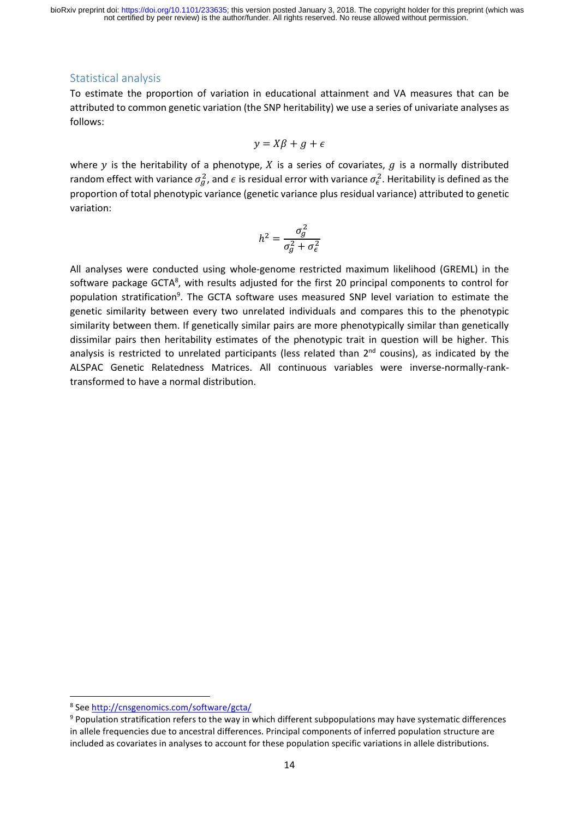## Statistical analysis

To estimate the proportion of variation in educational attainment and VA measures that can be attributed to common genetic variation (the SNP heritability) we use a series of univariate analyses as follows:

$$
y = X\beta + g + \epsilon
$$

where  $y$  is the heritability of a phenotype,  $X$  is a series of covariates,  $g$  is a normally distributed random effect with variance  $\sigma_g^2$ , and  $\epsilon$  is residual error with variance  $\sigma_\epsilon^2$ . Heritability is defined as the proportion of total phenotypic variance (genetic variance plus residual variance) attributed to genetic variation:

$$
h^2 = \frac{\sigma_g^2}{\sigma_g^2 + \sigma_\epsilon^2}
$$

All analyses were conducted using whole-genome restricted maximum likelihood (GREML) in the software package GCTA<sup>8</sup>, with results adjusted for the first 20 principal components to control for population stratification<sup>9</sup>. The GCTA software uses measured SNP level variation to estimate the genetic similarity between every two unrelated individuals and compares this to the phenotypic similarity between them. If genetically similar pairs are more phenotypically similar than genetically dissimilar pairs then heritability estimates of the phenotypic trait in question will be higher. This analysis is restricted to unrelated participants (less related than 2<sup>nd</sup> cousins), as indicated by the ALSPAC Genetic Relatedness Matrices. All continuous variables were inverse-normally-ranktransformed to have a normal distribution.

1

<sup>&</sup>lt;sup>8</sup> See<http://cnsgenomics.com/software/gcta/>

<sup>9</sup> Population stratification refers to the way in which different subpopulations may have systematic differences in allele frequencies due to ancestral differences. Principal components of inferred population structure are included as covariates in analyses to account for these population specific variations in allele distributions.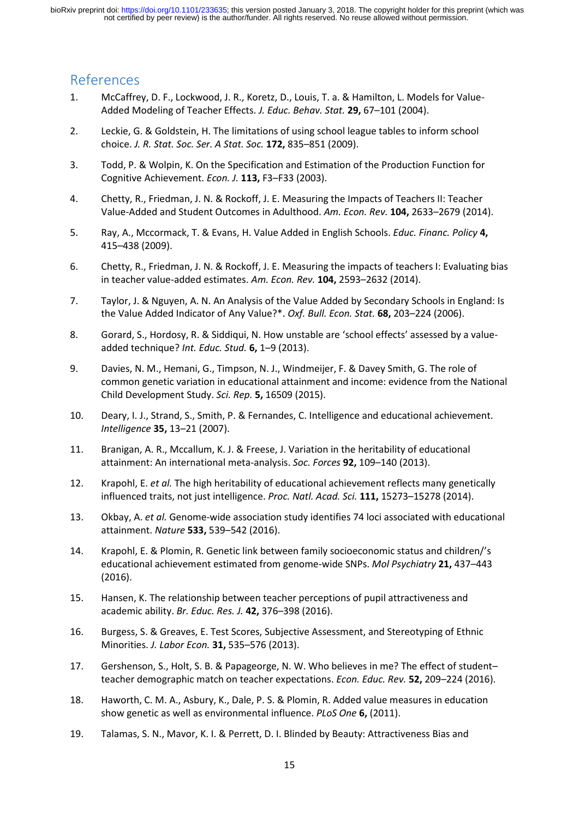# References

- 1. McCaffrey, D. F., Lockwood, J. R., Koretz, D., Louis, T. a. & Hamilton, L. Models for Value-Added Modeling of Teacher Effects. *J. Educ. Behav. Stat.* **29,** 67–101 (2004).
- 2. Leckie, G. & Goldstein, H. The limitations of using school league tables to inform school choice. *J. R. Stat. Soc. Ser. A Stat. Soc.* **172,** 835–851 (2009).
- 3. Todd, P. & Wolpin, K. On the Specification and Estimation of the Production Function for Cognitive Achievement. *Econ. J.* **113,** F3–F33 (2003).
- 4. Chetty, R., Friedman, J. N. & Rockoff, J. E. Measuring the Impacts of Teachers II: Teacher Value-Added and Student Outcomes in Adulthood. *Am. Econ. Rev.* **104,** 2633–2679 (2014).
- 5. Ray, A., Mccormack, T. & Evans, H. Value Added in English Schools. *Educ. Financ. Policy* **4,** 415–438 (2009).
- 6. Chetty, R., Friedman, J. N. & Rockoff, J. E. Measuring the impacts of teachers I: Evaluating bias in teacher value-added estimates. *Am. Econ. Rev.* **104,** 2593–2632 (2014).
- 7. Taylor, J. & Nguyen, A. N. An Analysis of the Value Added by Secondary Schools in England: Is the Value Added Indicator of Any Value?\*. *Oxf. Bull. Econ. Stat.* **68,** 203–224 (2006).
- 8. Gorard, S., Hordosy, R. & Siddiqui, N. How unstable are 'school effects' assessed by a valueadded technique? *Int. Educ. Stud.* **6,** 1–9 (2013).
- 9. Davies, N. M., Hemani, G., Timpson, N. J., Windmeijer, F. & Davey Smith, G. The role of common genetic variation in educational attainment and income: evidence from the National Child Development Study. *Sci. Rep.* **5,** 16509 (2015).
- 10. Deary, I. J., Strand, S., Smith, P. & Fernandes, C. Intelligence and educational achievement. *Intelligence* **35,** 13–21 (2007).
- 11. Branigan, A. R., Mccallum, K. J. & Freese, J. Variation in the heritability of educational attainment: An international meta-analysis. *Soc. Forces* **92,** 109–140 (2013).
- 12. Krapohl, E. *et al.* The high heritability of educational achievement reflects many genetically influenced traits, not just intelligence. *Proc. Natl. Acad. Sci.* **111,** 15273–15278 (2014).
- 13. Okbay, A. *et al.* Genome-wide association study identifies 74 loci associated with educational attainment. *Nature* **533,** 539–542 (2016).
- 14. Krapohl, E. & Plomin, R. Genetic link between family socioeconomic status and children/'s educational achievement estimated from genome-wide SNPs. *Mol Psychiatry* **21,** 437–443 (2016).
- 15. Hansen, K. The relationship between teacher perceptions of pupil attractiveness and academic ability. *Br. Educ. Res. J.* **42,** 376–398 (2016).
- 16. Burgess, S. & Greaves, E. Test Scores, Subjective Assessment, and Stereotyping of Ethnic Minorities. *J. Labor Econ.* **31,** 535–576 (2013).
- 17. Gershenson, S., Holt, S. B. & Papageorge, N. W. Who believes in me? The effect of student– teacher demographic match on teacher expectations. *Econ. Educ. Rev.* **52,** 209–224 (2016).
- 18. Haworth, C. M. A., Asbury, K., Dale, P. S. & Plomin, R. Added value measures in education show genetic as well as environmental influence. *PLoS One* **6,** (2011).
- 19. Talamas, S. N., Mavor, K. I. & Perrett, D. I. Blinded by Beauty: Attractiveness Bias and